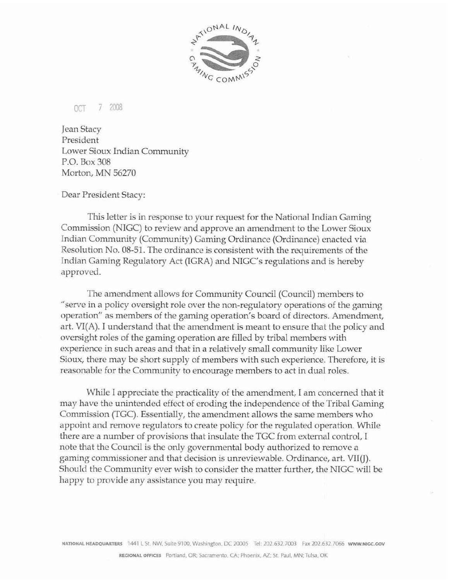

OCT 7 2008

Jean Stacy President Lower **Sioux** Indian Community P.O. Box **308**  Morton, MN 56270

Dear President Stacy:

This letter is in response to your request for the National Indian Gaming Commission (NIGC) to review and approve an amendment to the Lower Sioux Indian Community (Community ) Gaming Ordinance (Ordinance) enacted via Resolution No. 08-51. The ordinance is consistent with the requirements of the Indian Gaming Regulatory Act (IGRA) and NIGC's regulations and is hereby approved.

The amendment allows for Community Council (Council) members **to** "serve in a policy oversight role over the non-regulatory operations of the gaming operation" as members of the gaming operation's board of directors. Amendment, art. **VI(A).** I understand that the amendment is meant to ensure that the policy and oversight roles of the gaming operation are filIed **by** tribal members with **experience** in such areas and that in a reIatively small community **like** Lower **Sioux,** there may be short supply of members with such experience. Therefore, it is reasonable for the Community to encourage members to act in dual roles.

While I appreciate the practicality of the amendment, I am concerned that it may have the unintended effect of eroding the independence of the Tribal Gaming Commission (TGC). Essentially, the amendment allows the same members who appoint and remove regulators to create policy for the regulated operation. WhiIe there are a number of provisions that insulate the TGC from external control, I note that the Council is the only governmental body authorized to remove a gaming commissioner and that decision is unreviewable. Ordinance, **art.** VIIW). Should the Community ever wish to consider the matter further, the NIGC will be happy to provide any assistance you may require.

 $N$ ATIONAL HEADQUARTERS 1441 L St. NW, Suite 9100. Washington, DC 20005 Tel: 202.632.7003 Fax 202.632.7066 WWW.NIGC.GOV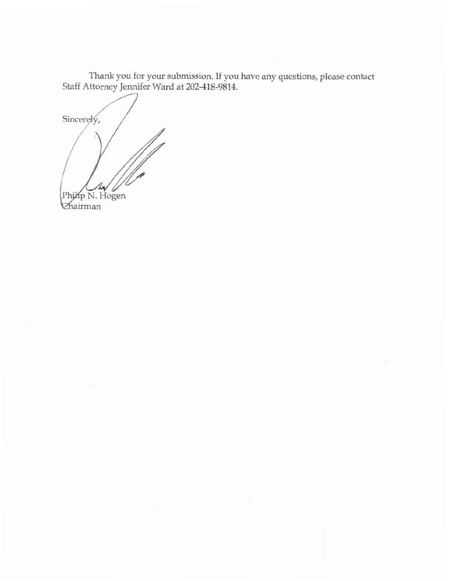Thank you for your submission. **If** you have any questions, please contact **Staff Attorney Jennifer Ward at 202-418-9814.** 

Sincerely, Philip N. Hogen Chairman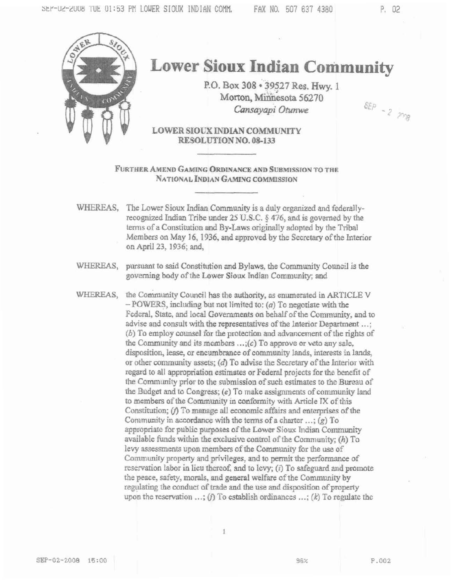$SEP - 2 \gg p$ 



## **Lower Sioux Indian Community**

P.O. Box 308 · 39527 Res. Hwy. 1 Morton, Minnesota 56270 Cansayapi Otunwe

LOWER SIQUX INDIAN COMMUNITY RESOLUTION NO. 08-133

FURTHER AMEND GAMING ORDINANCE AND SUBMISSION TO THE NATIONAL INDIAN GAMING COMMISSION

- WHEREAS, The Lower Sioux Indian Community is a duly organized and federallyrecognized Indian Tribe under 25 U.S.C. § 476, and is governed by the terms of a Constitution and By-Laws originally adopted by the Tribal Members on May 16, 1936, and approved by the Secretary of the Interior on April 23, 1936; and,
- WHEREAS, pursuant to said Constitution and Bylaws, the Community Council is the governing body of the Lower Sioux Indian Community; and

WHEREAS. the Community Council has the authority, as enumerated in ARTICLE V  $-$  POWERS, including but not limited to:  $(a)$  To negotiate with the Federal, State, and local Governments on behalf of the Community, and to advise and consult with the representatives of the Interior Department ...; (b) To employ counsel for the protection and advancement of the rights of the Community and its members  $\ldots$ ; (c) To approve or veto any sale, disposition, lease, or encumbrance of community lands, interests in lands, or other community assets; (d) To advise the Secretary of the Interior with regard to all appropriation estimates or Federal projects for the benefit of the Community prior to the submission of such estimates to the Bureau of the Budget and to Congress; (e) To make assignments of community land to members of the Community in conformity with Article IX of this Constitution; (f) To manage all economic affairs and enterprises of the Community in accordance with the terms of a charter  $\ldots$ ; (g) To appropriate for public purposes of the Lower Sioux Indian Community available funds within the exclusive control of the Community;  $(h)$  To levy assessments upon members of the Community for the use of Community property and privileges, and to permit the performance of reservation labor in lieu thereof, and to levy;  $(i)$  To safeguard and promote the peace, safety, morals, and general welfare of the Community by regulating the conduct of trade and the use and disposition of property upon the reservation ...; (i) To establish ordinances ...; (k) To regulate the

1

96%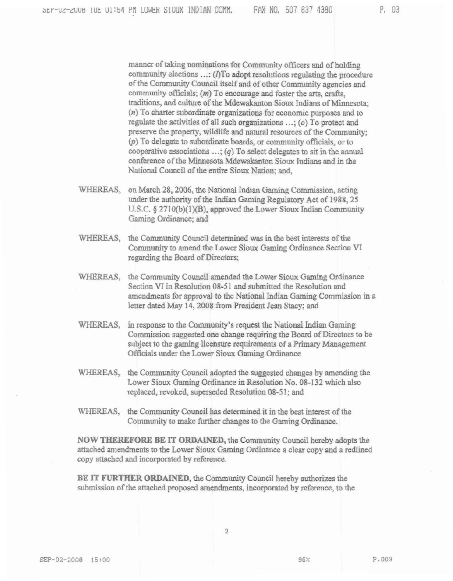manner of taking nominations for Community officers and of holding community elections ...: (I)To adopt resolutions regulating the procedure of the Community Council itself and of other Community agencies and community officials; (m) To encourage and foster the arts, crafts, traditions, and culture of the Mdewakanton Sioux Indians of Minnesota;  $(n)$  To charter subordinate organizations for economic purposes and to regulate the activities of all such organizations  $\ldots$ ; ( $o$ ) To protect and preserve the property, wildlife and natural resources of the Community: (p) To delegate to subordinate boards, or community officials, or to cooperative associations  $\ldots$ ; (q) To select delegates to sit in the annual conference of the Minnesota Mdewakanton Sioux Indians and in the National Council of the entire Sioux Nation; and,

- WHEREAS, on March 28, 2006, the National Indian Gaming Commission, acting under the authority of the Indian Gaming Regulatory Act of 1988, 25 U.S.C. § 2710(b)(1)(B), approved the Lower Sioux Indian Community Gaming Ordinance; and
- WHEREAS, the Community Council determined was in the best interests of the Community to amend the Lower Sioux Gaming Ordinance Section VI regarding the Board of Directors;
- WHEREAS, the Community Council amended the Lower Sioux Gaming Ordinance Section VI in Resolution 08-51 and submitted the Resolution and amendments for approval to the National Indian Gaming Commission in a letter dated May 14, 2008 from President Jean Stacy; and
- WHEREAS, in response to the Community's request the National Indian Gaming Commission suggested one change requiring the Board of Directors to be subject to the gaming licensure requirements of a Primary Management Officials under the Lower Sioux Gaming Ordinance
- WHEREAS, the Community Council adopted the suggested changes by amending the Lower Sioux Gaming Ordinance in Resolution No. 08-132 which also replaced, revoked, superseded Resolution 08-51; and
- WHEREAS, the Community Council has determined it in the best interest of the Community to make further changes to the Gaming Ordinance.

NOW THEREFORE BE IT ORDAINED, the Community Council hereby adopts the attached amendments to the Lower Sioux Gaming Ordinance a clear copy and a redlined copy attached and incorporated by reference.

BE IT FURTHER ORDAINED, the Community Council hereby authorizes the submission of the attached proposed amendments, incorporated by reference, to the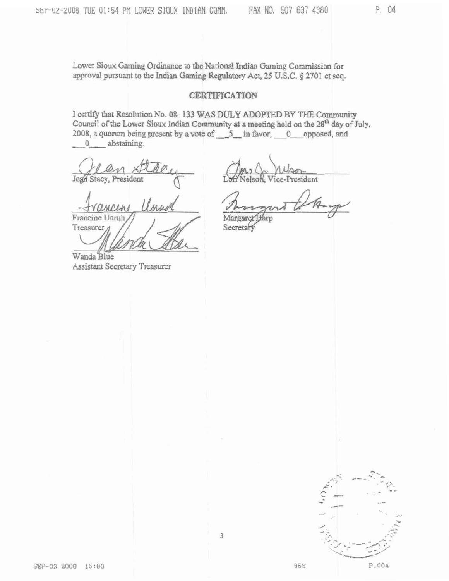P. 04

Lower Sioux Gaming Ordinance to the National Indian Gaming Commission for approval pursuant to the Indian Gaming Regulatory Act, 25 U.S.C. § 2701 et seq.

## **CERTIFICATION**

I certify that Resolution No. 08-133 WAS DULY ADOPTED BY THE Community Council of the Lower Sioux Indian Community at a meeting held on the  $28^{th}$  day of July, 2008, a quorum being present by a vote of  $5 \text{ m}$  favor, 0 opposed, and 0 abstaining.

Jegn Stacy, President

elson resident

Francine Unruh Treasurer

Wanda Blue Assistant Secretary Treasurer

Margaret Faro

Secretary



95%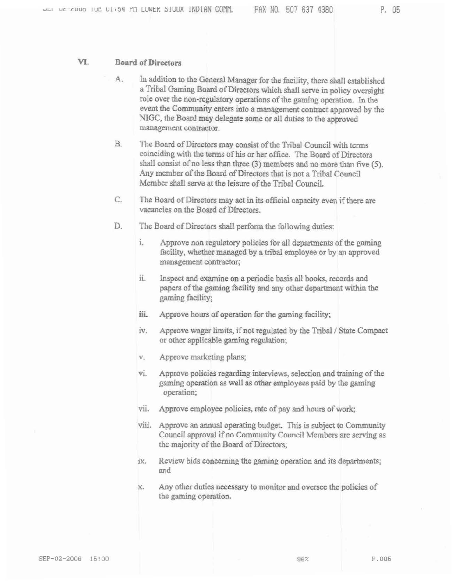P. 05

## VI. **Board of Directors**

- A. In addition to the General Manager for the facility, there shall established a Tribal Gaming Board of Directors which shall serve in policy oversight role over the non-regulatory operations of the gaming operation. In the event the Community enters into a management contract approved by the NIGC, the Board may delegate some or all duties to the approved management contractor.
- $B.$ The Board of Directors may consist of the Tribal Council with terms coinciding with the terms of his or her office. The Board of Directors shall consist of no less than three  $(3)$  members and no more than five  $(5)$ . Any member of the Board of Directors that is not a Tribal Council Member shall serve at the leisure of the Tribal Council.
- C. The Board of Directors may act in its official capacity even if there are vacancies on the Board of Directors.
- D. The Board of Directors shall perform the following duties:
	- i. Approve non regulatory policies for all departments of the gaming facility, whether managed by a tribal employee or by an approved management contractor;
	- ii. Inspect and examine on a periodic basis all books, records and papers of the gaming facility and any other department within the gaming facility;
	- iii. Approve hours of operation for the gaming facility;
	- iv. Approve wager limits, if not regulated by the Tribal / State Compact or other applicable gaming regulation:
	- $V_{+}$ Approve marketing plans;
	- vi. Approve policies regarding interviews, selection and training of the gaming operation as well as other employees paid by the gaming operation:
	- Approve employee policies, rate of pay and hours of work; vii.
	- viii. Approve an annual operating budget. This is subject to Community Council approval if no Community Council Members are serving as the majority of the Board of Directors;
	- ix. Review bids concerning the gaming operation and its departments; and
	- Any other duties necessary to monitor and oversee the policies of X. the gaming operation.